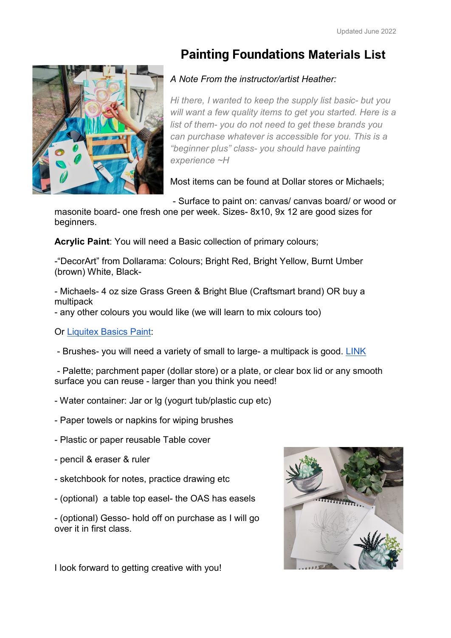## **Painting Foundations Materials List**

## *A Note From the instructor/artist Heather:*

*Hi there, I wanted to keep the supply list basic- but you will want a few quality items to get you started. Here is a list of them- you do not need to get these brands you can purchase whatever is accessible for you. This is a "beginner plus" class- you should have painting experience ~H*

Most items can be found at Dollar stores or Michaels;

- Surface to paint on: canvas/ canvas board/ or wood or

masonite board- one fresh one per week. Sizes- 8x10, 9x 12 are good sizes for beginners.

**Acrylic Paint**: You will need a Basic collection of primary colours;

-"DecorArt" from Dollarama: Colours; Bright Red, Bright Yellow, Burnt Umber (brown) White, Black-

- Michaels- 4 oz size Grass Green & Bright Blue (Craftsmart brand) OR buy a multipack

- any other colours you would like (we will learn to mix colours too)

Or [Liquitex Basics Paint:](https://canada.michaels.com/en/liquitex-basics-acrylic-paint-4oz/MD002546S.html?dwvar_MD002546S_size=4%20oz&dwvar_MD002546S_color=311%20Cadmium%20Deep%20Red)

- Brushes- you will need a variety of small to large- a multipack is good. [LINK](https://canada.michaels.com/en/super-value-50pc-brush-set-by-artists-loft-necessities/10504534.html)

- Palette; parchment paper (dollar store) or a plate, or clear box lid or any smooth surface you can reuse - larger than you think you need!

- Water container: Jar or lg (yogurt tub/plastic cup etc)
- Paper towels or napkins for wiping brushes
- Plastic or paper reusable Table cover
- pencil & eraser & ruler
- sketchbook for notes, practice drawing etc
- (optional) a table top easel- the OAS has easels

- (optional) Gesso- hold off on purchase as I will go over it in first class.



I look forward to getting creative with you!